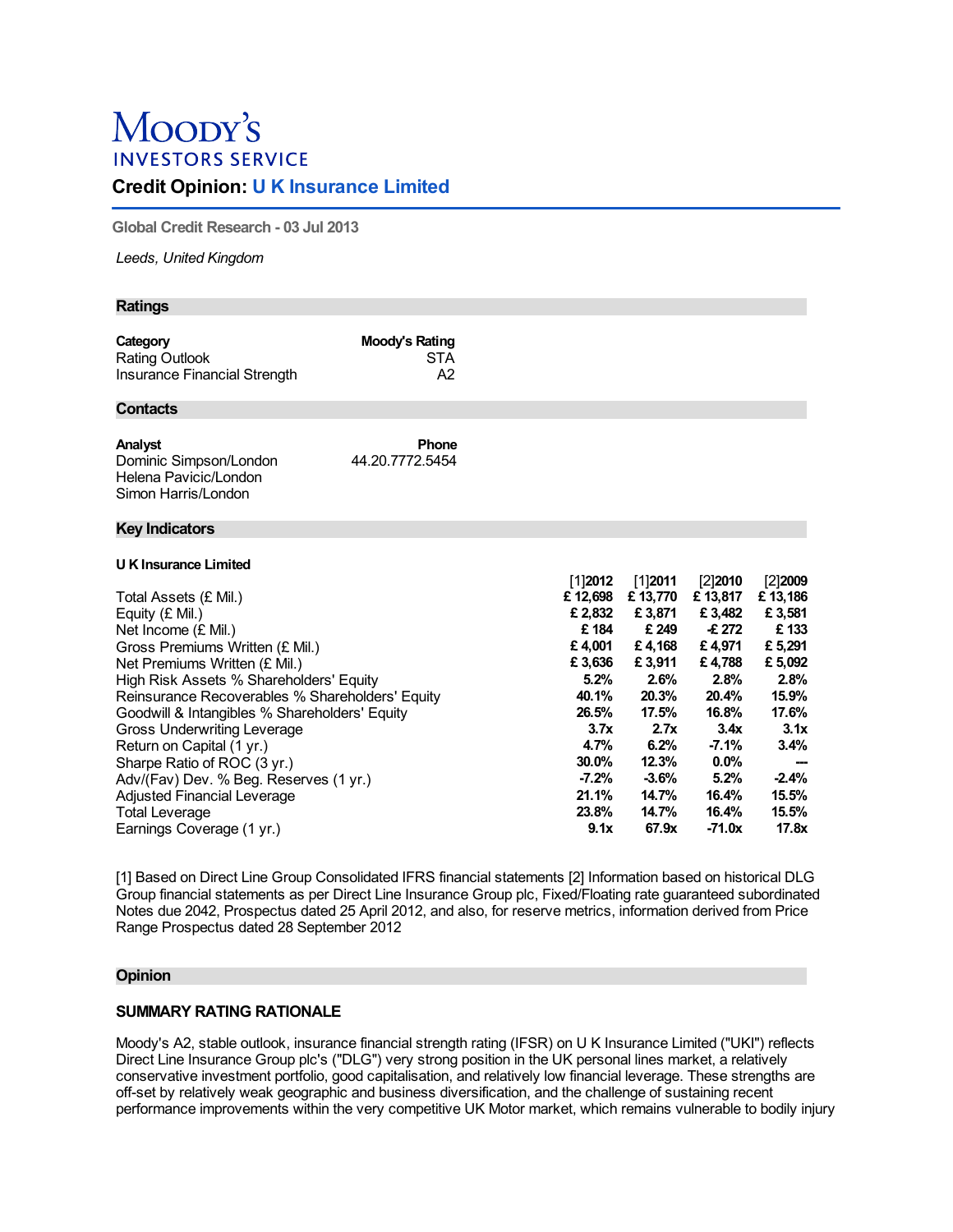# Moopy's **INVESTORS SERVICE**

## **Credit Opinion: U K Insurance Limited**

**Global Credit Research - 03 Jul 2013**

*Leeds, United Kingdom*

## **Ratings**

| Category                     | Moody's Rating |
|------------------------------|----------------|
| <b>Rating Outlook</b>        | STA            |
| Insurance Financial Strength | A2             |

## **Contacts**

| Analyst                | <b>Phone</b>    |
|------------------------|-----------------|
| Dominic Simpson/London | 44.20.7772.5454 |
| Helena Pavicic/London  |                 |
| Simon Harris/London    |                 |

#### **Key Indicators**

#### **U K Insurance Limited**

|                                                 | [1]2012  | [1]2011 | [2]2010  | [2]2009 |
|-------------------------------------------------|----------|---------|----------|---------|
| Total Assets (£ Mil.)                           | £12,698  | £13,770 | £13,817  | £13,186 |
| Equity $(E$ Mil.)                               | £ 2,832  | £3,871  | £ 3,482  | £3,581  |
| Net Income $(E$ Mil.)                           | £184     | £ 249   | £ 272    | £133    |
| Gross Premiums Written (£ Mil.)                 | £4,001   | £4,168  | £4,971   | £5,291  |
| Net Premiums Written (£ Mil.)                   | £3,636   | £3.911  | £4.788   | £5,092  |
| High Risk Assets % Shareholders' Equity         | 5.2%     | 2.6%    | 2.8%     | 2.8%    |
| Reinsurance Recoverables % Shareholders' Equity | 40.1%    | 20.3%   | 20.4%    | 15.9%   |
| Goodwill & Intangibles % Shareholders' Equity   | 26.5%    | 17.5%   | 16.8%    | 17.6%   |
| Gross Underwriting Leverage                     | 3.7x     | 2.7x    | 3.4x     | 3.1x    |
| Return on Capital (1 yr.)                       | 4.7%     | 6.2%    | $-7.1%$  | 3.4%    |
| Sharpe Ratio of ROC (3 yr.)                     | $30.0\%$ | 12.3%   | $0.0\%$  | ---     |
| Adv/(Fav) Dev. % Beg. Reserves (1 yr.)          | $-7.2\%$ | $-3.6%$ | 5.2%     | $-2.4%$ |
| Adjusted Financial Leverage                     | 21.1%    | 14.7%   | 16.4%    | 15.5%   |
| <b>Total Leverage</b>                           | 23.8%    | 14.7%   | 16.4%    | 15.5%   |
| Earnings Coverage (1 yr.)                       | 9.1x     | 67.9x   | $-71.0x$ | 17.8x   |

[1] Based on Direct Line Group Consolidated IFRS financial statements [2] Information based on historical DLG Group financial statements as per Direct Line Insurance Group plc, Fixed/Floating rate guaranteed subordinated Notes due 2042, Prospectus dated 25 April 2012, and also, for reserve metrics, information derived from Price Range Prospectus dated 28 September 2012

## **Opinion**

## **SUMMARY RATING RATIONALE**

Moody's A2, stable outlook, insurance financial strength rating (IFSR) on U K Insurance Limited ("UKI") reflects Direct Line Insurance Group plc's ("DLG") very strong position in the UK personal lines market, a relatively conservative investment portfolio, good capitalisation, and relatively low financial leverage. These strengths are off-set by relatively weak geographic and business diversification, and the challenge of sustaining recent performance improvements within the very competitive UK Motor market, which remains vulnerable to bodily injury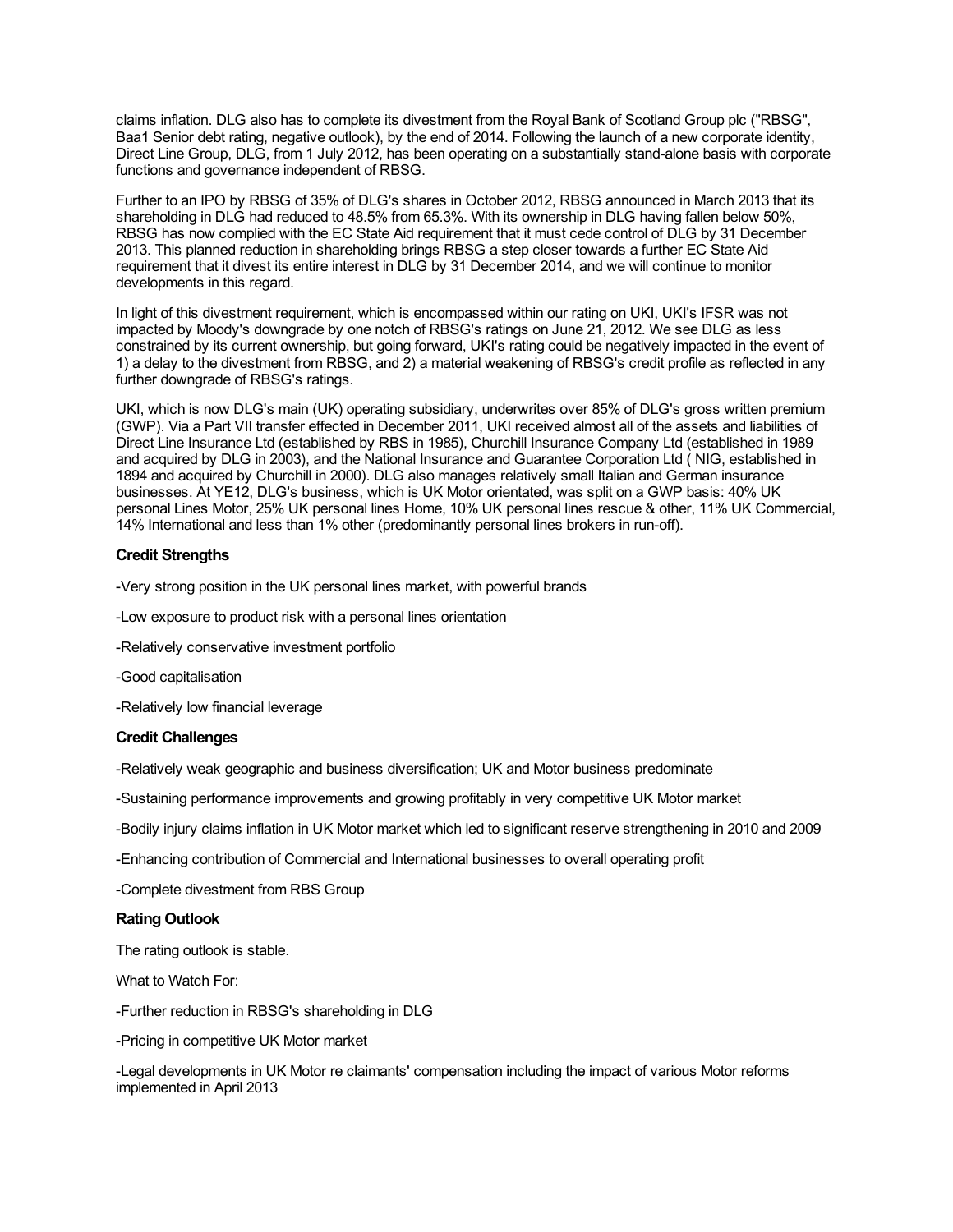claims inflation. DLG also has to complete its divestment from the Royal Bank of Scotland Group plc ("RBSG", Baa1 Senior debt rating, negative outlook), by the end of 2014. Following the launch of a new corporate identity, Direct Line Group, DLG, from 1 July 2012, has been operating on a substantially stand-alone basis with corporate functions and governance independent of RBSG.

Further to an IPO by RBSG of 35% of DLG's shares in October 2012, RBSG announced in March 2013 that its shareholding in DLG had reduced to 48.5% from 65.3%. With its ownership in DLG having fallen below 50%, RBSG has now complied with the EC State Aid requirement that it must cede control of DLG by 31 December 2013. This planned reduction in shareholding brings RBSG a step closer towards a further EC State Aid requirement that it divest its entire interest in DLG by 31 December 2014, and we will continue to monitor developments in this regard.

In light of this divestment requirement, which is encompassed within our rating on UKI, UKI's IFSR was not impacted by Moody's downgrade by one notch of RBSG's ratings on June 21, 2012. We see DLG as less constrained by its current ownership, but going forward, UKI's rating could be negatively impacted in the event of 1) a delay to the divestment from RBSG, and 2) a material weakening of RBSG's credit profile as reflected in any further downgrade of RBSG's ratings.

UKI, which is now DLG's main (UK) operating subsidiary, underwrites over 85% of DLG's gross written premium (GWP). Via a Part VII transfer effected in December 2011, UKI received almost all of the assets and liabilities of Direct Line Insurance Ltd (established by RBS in 1985), Churchill Insurance Company Ltd (established in 1989 and acquired by DLG in 2003), and the National Insurance and Guarantee Corporation Ltd ( NIG, established in 1894 and acquired by Churchill in 2000). DLG also manages relatively small Italian and German insurance businesses. At YE12, DLG's business, which is UK Motor orientated, was split on a GWP basis: 40% UK personal Lines Motor, 25% UK personal lines Home, 10% UK personal lines rescue & other, 11% UK Commercial, 14% International and less than 1% other (predominantly personal lines brokers in run-off).

## **Credit Strengths**

-Very strong position in the UK personal lines market, with powerful brands

- -Low exposure to product risk with a personal lines orientation
- -Relatively conservative investment portfolio
- -Good capitalisation
- -Relatively low financial leverage

## **Credit Challenges**

-Relatively weak geographic and business diversification; UK and Motor business predominate

-Sustaining performance improvements and growing profitably in very competitive UK Motor market

-Bodily injury claims inflation in UK Motor market which led to significant reserve strengthening in 2010 and 2009

-Enhancing contribution of Commercial and International businesses to overall operating profit

-Complete divestment from RBS Group

#### **Rating Outlook**

The rating outlook is stable.

What to Watch For:

-Further reduction in RBSG's shareholding in DLG

-Pricing in competitive UK Motor market

-Legal developments in UK Motor re claimants' compensation including the impact of various Motor reforms implemented in April 2013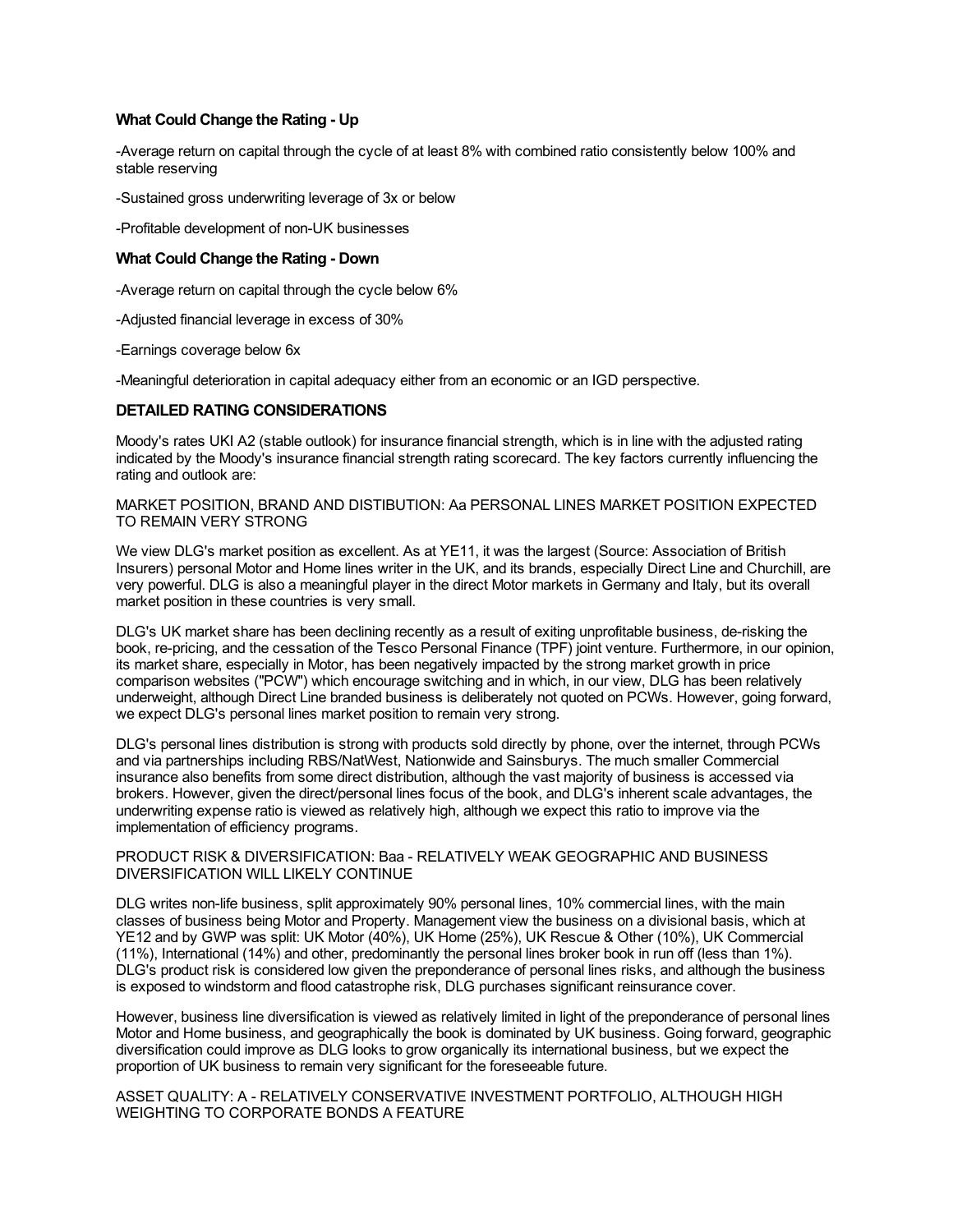## **What Could Change the Rating - Up**

-Average return on capital through the cycle of at least 8% with combined ratio consistently below 100% and stable reserving

-Sustained gross underwriting leverage of 3x or below

-Profitable development of non-UK businesses

## **What Could Change the Rating - Down**

-Average return on capital through the cycle below 6%

- -Adjusted financial leverage in excess of 30%
- -Earnings coverage below 6x

-Meaningful deterioration in capital adequacy either from an economic or an IGD perspective.

## **DETAILED RATING CONSIDERATIONS**

Moody's rates UKI A2 (stable outlook) for insurance financial strength, which is in line with the adjusted rating indicated by the Moody's insurance financial strength rating scorecard. The key factors currently influencing the rating and outlook are:

#### MARKET POSITION, BRAND AND DISTIBUTION: Aa PERSONAL LINES MARKET POSITION EXPECTED TO REMAIN VERY STRONG

We view DLG's market position as excellent. As at YE11, it was the largest (Source: Association of British Insurers) personal Motor and Home lines writer in the UK, and its brands, especially Direct Line and Churchill, are very powerful. DLG is also a meaningful player in the direct Motor markets in Germany and Italy, but its overall market position in these countries is very small.

DLG's UK market share has been declining recently as a result of exiting unprofitable business, de-risking the book, re-pricing, and the cessation of the Tesco Personal Finance (TPF) joint venture. Furthermore, in our opinion, its market share, especially in Motor, has been negatively impacted by the strong market growth in price comparison websites ("PCW") which encourage switching and in which, in our view, DLG has been relatively underweight, although Direct Line branded business is deliberately not quoted on PCWs. However, going forward, we expect DLG's personal lines market position to remain very strong.

DLG's personal lines distribution is strong with products sold directly by phone, over the internet, through PCWs and via partnerships including RBS/NatWest, Nationwide and Sainsburys. The much smaller Commercial insurance also benefits from some direct distribution, although the vast majority of business is accessed via brokers. However, given the direct/personal lines focus of the book, and DLG's inherent scale advantages, the underwriting expense ratio is viewed as relatively high, although we expect this ratio to improve via the implementation of efficiency programs.

#### PRODUCT RISK & DIVERSIFICATION: Baa - RELATIVELY WEAK GEOGRAPHIC AND BUSINESS DIVERSIFICATION WILL LIKELY CONTINUE

DLG writes non-life business, split approximately 90% personal lines, 10% commercial lines, with the main classes of business being Motor and Property. Management view the business on a divisional basis, which at YE12 and by GWP was split: UK Motor (40%), UK Home (25%), UK Rescue & Other (10%), UK Commercial (11%), International (14%) and other, predominantly the personal lines broker book in run off (less than 1%). DLG's product risk is considered low given the preponderance of personal lines risks, and although the business is exposed to windstorm and flood catastrophe risk, DLG purchases significant reinsurance cover.

However, business line diversification is viewed as relatively limited in light of the preponderance of personal lines Motor and Home business, and geographically the book is dominated by UK business. Going forward, geographic diversification could improve as DLG looks to grow organically its international business, but we expect the proportion of UK business to remain very significant for the foreseeable future.

ASSET QUALITY: A - RELATIVELY CONSERVATIVE INVESTMENT PORTFOLIO, ALTHOUGH HIGH WEIGHTING TO CORPORATE BONDS A FEATURE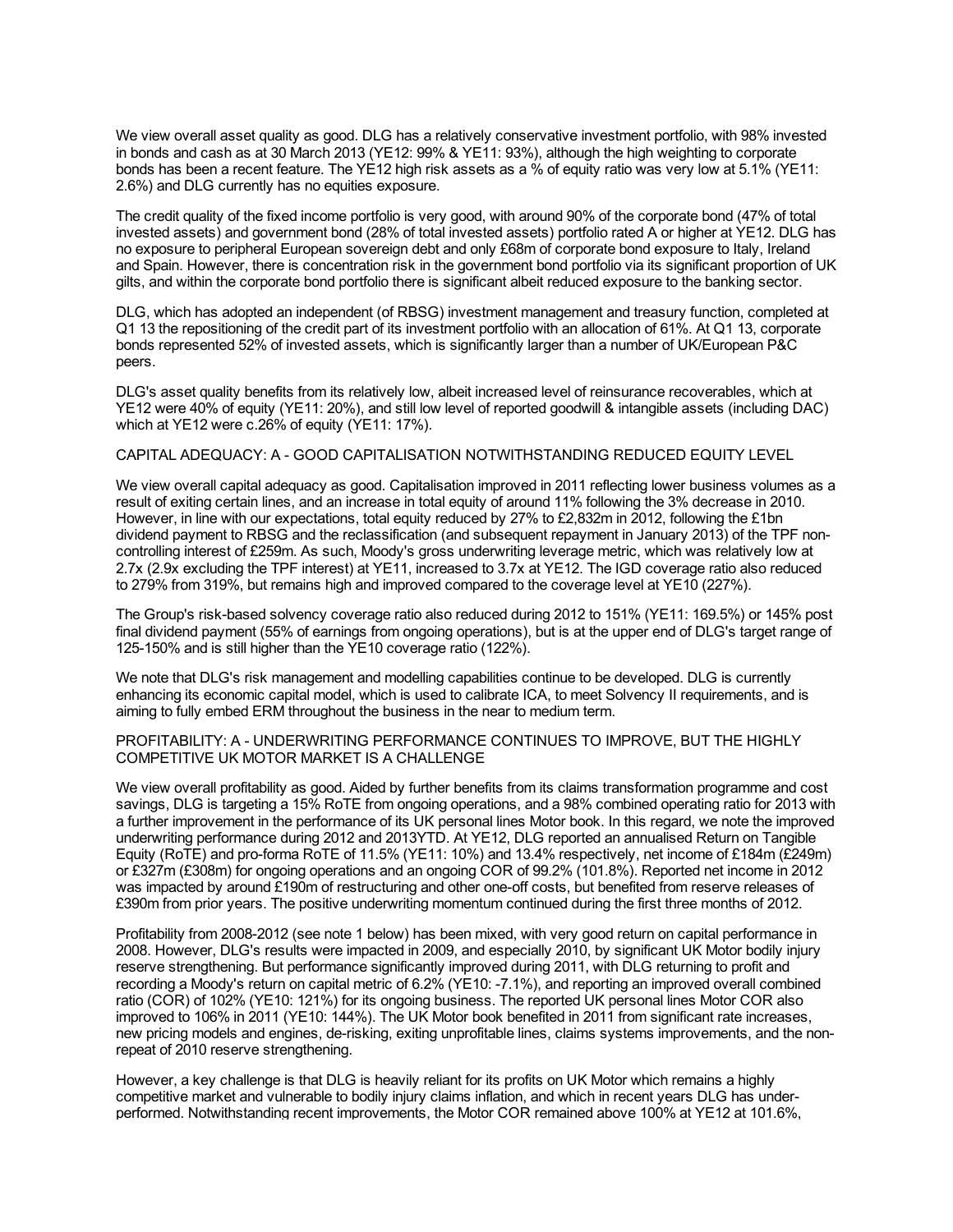We view overall asset quality as good. DLG has a relatively conservative investment portfolio, with 98% invested in bonds and cash as at 30 March 2013 (YE12: 99% & YE11: 93%), although the high weighting to corporate bonds has been a recent feature. The YE12 high risk assets as a % of equity ratio was very low at 5.1% (YE11: 2.6%) and DLG currently has no equities exposure.

The credit quality of the fixed income portfolio is very good, with around 90% of the corporate bond (47% of total invested assets) and government bond (28% of total invested assets) portfolio rated A or higher at YE12. DLG has no exposure to peripheral European sovereign debt and only £68m of corporate bond exposure to Italy, Ireland and Spain. However, there is concentration risk in the government bond portfolio via its significant proportion of UK gilts, and within the corporate bond portfolio there is significant albeit reduced exposure to the banking sector.

DLG, which has adopted an independent (of RBSG) investment management and treasury function, completed at Q1 13 the repositioning of the credit part of its investment portfolio with an allocation of 61%. At Q1 13, corporate bonds represented 52% of invested assets, which is significantly larger than a number of UK/European P&C peers.

DLG's asset quality benefits from its relatively low, albeit increased level of reinsurance recoverables, which at YE12 were 40% of equity (YE11: 20%), and still low level of reported goodwill & intangible assets (including DAC) which at YE12 were c.26% of equity (YE11: 17%).

#### CAPITAL ADEQUACY: A - GOOD CAPITALISATION NOTWITHSTANDING REDUCED EQUITY LEVEL

We view overall capital adequacy as good. Capitalisation improved in 2011 reflecting lower business volumes as a result of exiting certain lines, and an increase in total equity of around 11% following the 3% decrease in 2010. However, in line with our expectations, total equity reduced by 27% to £2,832m in 2012, following the £1bn dividend payment to RBSG and the reclassification (and subsequent repayment in January 2013) of the TPF noncontrolling interest of £259m. As such, Moody's gross underwriting leverage metric, which was relatively low at 2.7x (2.9x excluding the TPF interest) at YE11, increased to 3.7x at YE12. The IGD coverage ratio also reduced to 279% from 319%, but remains high and improved compared to the coverage level at YE10 (227%).

The Group's risk-based solvency coverage ratio also reduced during 2012 to 151% (YE11: 169.5%) or 145% post final dividend payment (55% of earnings from ongoing operations), but is at the upper end of DLG's target range of 125-150% and is still higher than the YE10 coverage ratio (122%).

We note that DLG's risk management and modelling capabilities continue to be developed. DLG is currently enhancing its economic capital model, which is used to calibrate ICA, to meet Solvency II requirements, and is aiming to fully embed ERM throughout the business in the near to medium term.

#### PROFITABILITY: A - UNDERWRITING PERFORMANCE CONTINUES TO IMPROVE, BUT THE HIGHLY COMPETITIVE UK MOTOR MARKET IS A CHALLENGE

We view overall profitability as good. Aided by further benefits from its claims transformation programme and cost savings, DLG is targeting a 15% RoTE from ongoing operations, and a 98% combined operating ratio for 2013 with a further improvement in the performance of its UK personal lines Motor book. In this regard, we note the improved underwriting performance during 2012 and 2013YTD. At YE12, DLG reported an annualised Return on Tangible Equity (RoTE) and pro-forma RoTE of 11.5% (YE11: 10%) and 13.4% respectively, net income of £184m (£249m) or £327m (£308m) for ongoing operations and an ongoing COR of 99.2% (101.8%). Reported net income in 2012 was impacted by around £190m of restructuring and other one-off costs, but benefited from reserve releases of £390m from prior years. The positive underwriting momentum continued during the first three months of 2012.

Profitability from 2008-2012 (see note 1 below) has been mixed, with very good return on capital performance in 2008. However, DLG's results were impacted in 2009, and especially 2010, by significant UK Motor bodily injury reserve strengthening. But performance significantly improved during 2011, with DLG returning to profit and recording a Moody's return on capital metric of 6.2% (YE10: -7.1%), and reporting an improved overall combined ratio (COR) of 102% (YE10: 121%) for its ongoing business. The reported UK personal lines Motor COR also improved to 106% in 2011 (YE10: 144%). The UK Motor book benefited in 2011 from significant rate increases, new pricing models and engines, de-risking, exiting unprofitable lines, claims systems improvements, and the nonrepeat of 2010 reserve strengthening.

However, a key challenge is that DLG is heavily reliant for its profits on UK Motor which remains a highly competitive market and vulnerable to bodily injury claims inflation, and which in recent years DLG has underperformed. Notwithstanding recent improvements, the Motor COR remained above 100% at YE12 at 101.6%,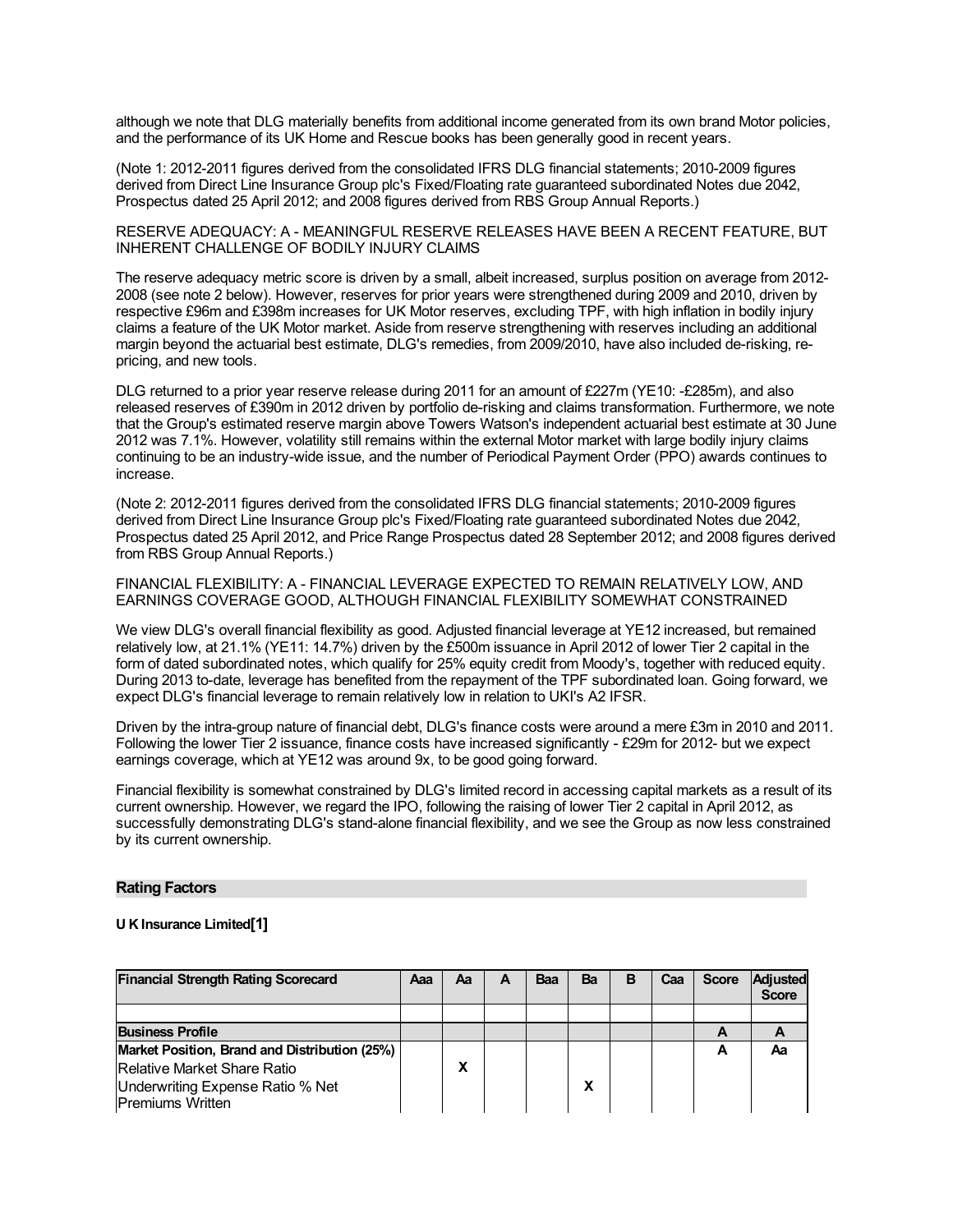although we note that DLG materially benefits from additional income generated from its own brand Motor policies, and the performance of its UK Home and Rescue books has been generally good in recent years.

(Note 1: 2012-2011 figures derived from the consolidated IFRS DLG financial statements; 2010-2009 figures derived from Direct Line Insurance Group plc's Fixed/Floating rate guaranteed subordinated Notes due 2042, Prospectus dated 25 April 2012; and 2008 figures derived from RBS Group Annual Reports.)

RESERVE ADEQUACY: A - MEANINGFUL RESERVE RELEASES HAVE BEEN A RECENT FEATURE, BUT INHERENT CHALLENGE OF BODILY INJURY CLAIMS

The reserve adequacy metric score is driven by a small, albeit increased, surplus position on average from 2012- 2008 (see note 2 below). However, reserves for prior years were strengthened during 2009 and 2010, driven by respective £96m and £398m increases for UK Motor reserves, excluding TPF, with high inflation in bodily injury claims a feature of the UK Motor market. Aside from reserve strengthening with reserves including an additional margin beyond the actuarial best estimate, DLG's remedies, from 2009/2010, have also included de-risking, repricing, and new tools.

DLG returned to a prior year reserve release during 2011 for an amount of £227m (YE10: -£285m), and also released reserves of £390m in 2012 driven by portfolio de-risking and claims transformation. Furthermore, we note that the Group's estimated reserve margin above Towers Watson's independent actuarial best estimate at 30 June 2012 was 7.1%. However, volatility still remains within the external Motor market with large bodily injury claims continuing to be an industry-wide issue, and the number of Periodical Payment Order (PPO) awards continues to increase.

(Note 2: 2012-2011 figures derived from the consolidated IFRS DLG financial statements; 2010-2009 figures derived from Direct Line Insurance Group plc's Fixed/Floating rate guaranteed subordinated Notes due 2042, Prospectus dated 25 April 2012, and Price Range Prospectus dated 28 September 2012; and 2008 figures derived from RBS Group Annual Reports.)

FINANCIAL FLEXIBILITY: A - FINANCIAL LEVERAGE EXPECTED TO REMAIN RELATIVELY LOW, AND EARNINGS COVERAGE GOOD, ALTHOUGH FINANCIAL FLEXIBILITY SOMEWHAT CONSTRAINED

We view DLG's overall financial flexibility as good. Adjusted financial leverage at YE12 increased, but remained relatively low, at 21.1% (YE11: 14.7%) driven by the £500m issuance in April 2012 of lower Tier 2 capital in the form of dated subordinated notes, which qualify for 25% equity credit from Moody's, together with reduced equity. During 2013 to-date, leverage has benefited from the repayment of the TPF subordinated loan. Going forward, we expect DLG's financial leverage to remain relatively low in relation to UKI's A2 IFSR.

Driven by the intra-group nature of financial debt, DLG's finance costs were around a mere £3m in 2010 and 2011. Following the lower Tier 2 issuance, finance costs have increased significantly - £29m for 2012- but we expect earnings coverage, which at YE12 was around 9x, to be good going forward.

Financial flexibility is somewhat constrained by DLG's limited record in accessing capital markets as a result of its current ownership. However, we regard the IPO, following the raising of lower Tier 2 capital in April 2012, as successfully demonstrating DLG's stand-alone financial flexibility, and we see the Group as now less constrained by its current ownership.

#### **Rating Factors**

#### **U K Insurance Limited[1]**

| <b>Financial Strength Rating Scorecard</b>                  | Aaa | Αа | A | Baa | Ba | В | Caa | <b>Score</b> | <b>Adjusted</b><br><b>Score</b> |
|-------------------------------------------------------------|-----|----|---|-----|----|---|-----|--------------|---------------------------------|
|                                                             |     |    |   |     |    |   |     |              |                                 |
| <b>Business Profile</b>                                     |     |    |   |     |    |   |     |              | $\mathbf{A}$                    |
| Market Position, Brand and Distribution (25%)               |     |    |   |     |    |   |     | A            | Αа                              |
| Relative Market Share Ratio                                 |     | χ  |   |     |    |   |     |              |                                 |
| Underwriting Expense Ratio % Net<br><b>Premiums Written</b> |     |    |   |     |    |   |     |              |                                 |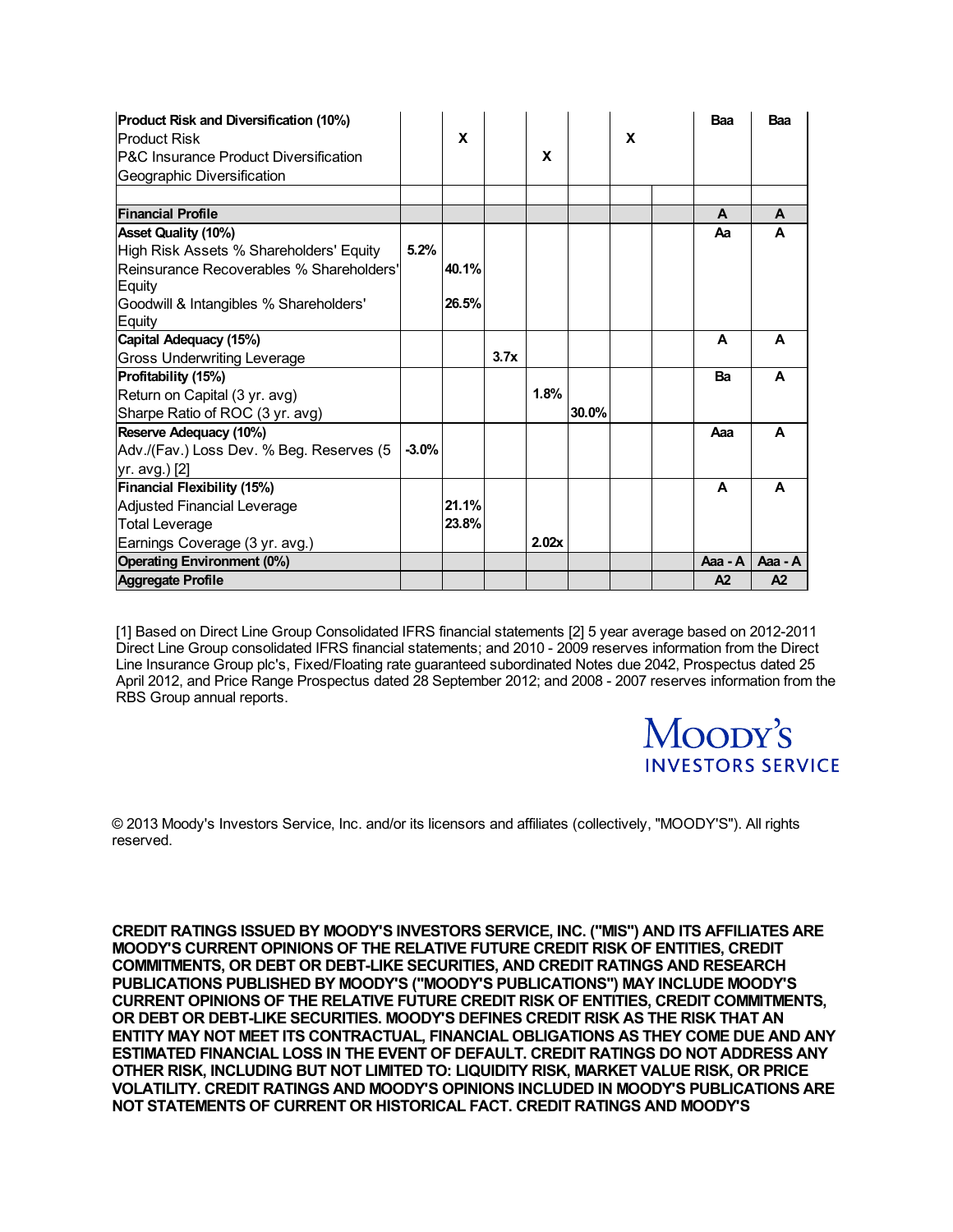| <b>Product Risk and Diversification (10%)</b>      |         |       |      |       |       |   | Baa     | Baa     |
|----------------------------------------------------|---------|-------|------|-------|-------|---|---------|---------|
| <b>Product Risk</b>                                |         | X     |      |       |       | X |         |         |
| IP&C Insurance Product Diversification             |         |       |      | X     |       |   |         |         |
| Geographic Diversification                         |         |       |      |       |       |   |         |         |
|                                                    |         |       |      |       |       |   |         |         |
| <b>Financial Profile</b>                           |         |       |      |       |       |   | A       | A       |
| <b>Asset Quality (10%)</b>                         |         |       |      |       |       |   | Aа      | A       |
| High Risk Assets % Shareholders' Equity            | 5.2%    |       |      |       |       |   |         |         |
| Reinsurance Recoverables % Shareholders'<br>Equity |         | 40.1% |      |       |       |   |         |         |
| Goodwill & Intangibles % Shareholders'             |         | 26.5% |      |       |       |   |         |         |
| Equity                                             |         |       |      |       |       |   |         |         |
| Capital Adequacy (15%)                             |         |       |      |       |       |   | A       | A       |
| Gross Underwriting Leverage                        |         |       | 3.7x |       |       |   |         |         |
| Profitability (15%)                                |         |       |      |       |       |   | Ba      | A       |
| Return on Capital (3 yr. avg)                      |         |       |      | 1.8%  |       |   |         |         |
| Sharpe Ratio of ROC (3 yr. avg)                    |         |       |      |       | 30.0% |   |         |         |
| Reserve Adequacy (10%)                             |         |       |      |       |       |   | Aaa     | A       |
| Adv./(Fav.) Loss Dev. % Beg. Reserves (5           | $-3.0%$ |       |      |       |       |   |         |         |
| yr. avg.) [2]                                      |         |       |      |       |       |   |         |         |
| <b>Financial Flexibility (15%)</b>                 |         |       |      |       |       |   | A       | A       |
| Adjusted Financial Leverage                        |         | 21.1% |      |       |       |   |         |         |
| Total Leverage                                     |         | 23.8% |      |       |       |   |         |         |
| Earnings Coverage (3 yr. avg.)                     |         |       |      | 2.02x |       |   |         |         |
| <b>Operating Environment (0%)</b>                  |         |       |      |       |       |   | Aaa - A | Aaa - A |
| <b>Aggregate Profile</b>                           |         |       |      |       |       |   | A2      | A2      |

[1] Based on Direct Line Group Consolidated IFRS financial statements [2] 5 year average based on 2012-2011 Direct Line Group consolidated IFRS financial statements; and 2010 - 2009 reserves information from the Direct Line Insurance Group plc's, Fixed/Floating rate guaranteed subordinated Notes due 2042, Prospectus dated 25 April 2012, and Price Range Prospectus dated 28 September 2012; and 2008 - 2007 reserves information from the RBS Group annual reports.



© 2013 Moody's Investors Service, Inc. and/or its licensors and affiliates (collectively, "MOODY'S"). All rights reserved.

**CREDIT RATINGS ISSUED BY MOODY'S INVESTORS SERVICE, INC. ("MIS") AND ITS AFFILIATES ARE MOODY'S CURRENT OPINIONS OF THE RELATIVE FUTURE CREDIT RISK OF ENTITIES, CREDIT COMMITMENTS, OR DEBT OR DEBT-LIKE SECURITIES, AND CREDIT RATINGS AND RESEARCH PUBLICATIONS PUBLISHED BY MOODY'S ("MOODY'S PUBLICATIONS") MAY INCLUDE MOODY'S CURRENT OPINIONS OF THE RELATIVE FUTURE CREDIT RISK OF ENTITIES, CREDIT COMMITMENTS, OR DEBT OR DEBT-LIKE SECURITIES. MOODY'S DEFINES CREDIT RISK AS THE RISK THAT AN ENTITY MAY NOT MEET ITS CONTRACTUAL, FINANCIAL OBLIGATIONS AS THEY COME DUE AND ANY ESTIMATED FINANCIAL LOSS IN THE EVENT OF DEFAULT. CREDIT RATINGS DO NOT ADDRESS ANY OTHER RISK, INCLUDING BUT NOT LIMITED TO: LIQUIDITY RISK, MARKET VALUE RISK, OR PRICE VOLATILITY. CREDIT RATINGS AND MOODY'S OPINIONS INCLUDED IN MOODY'S PUBLICATIONS ARE NOT STATEMENTS OF CURRENT OR HISTORICAL FACT. CREDIT RATINGS AND MOODY'S**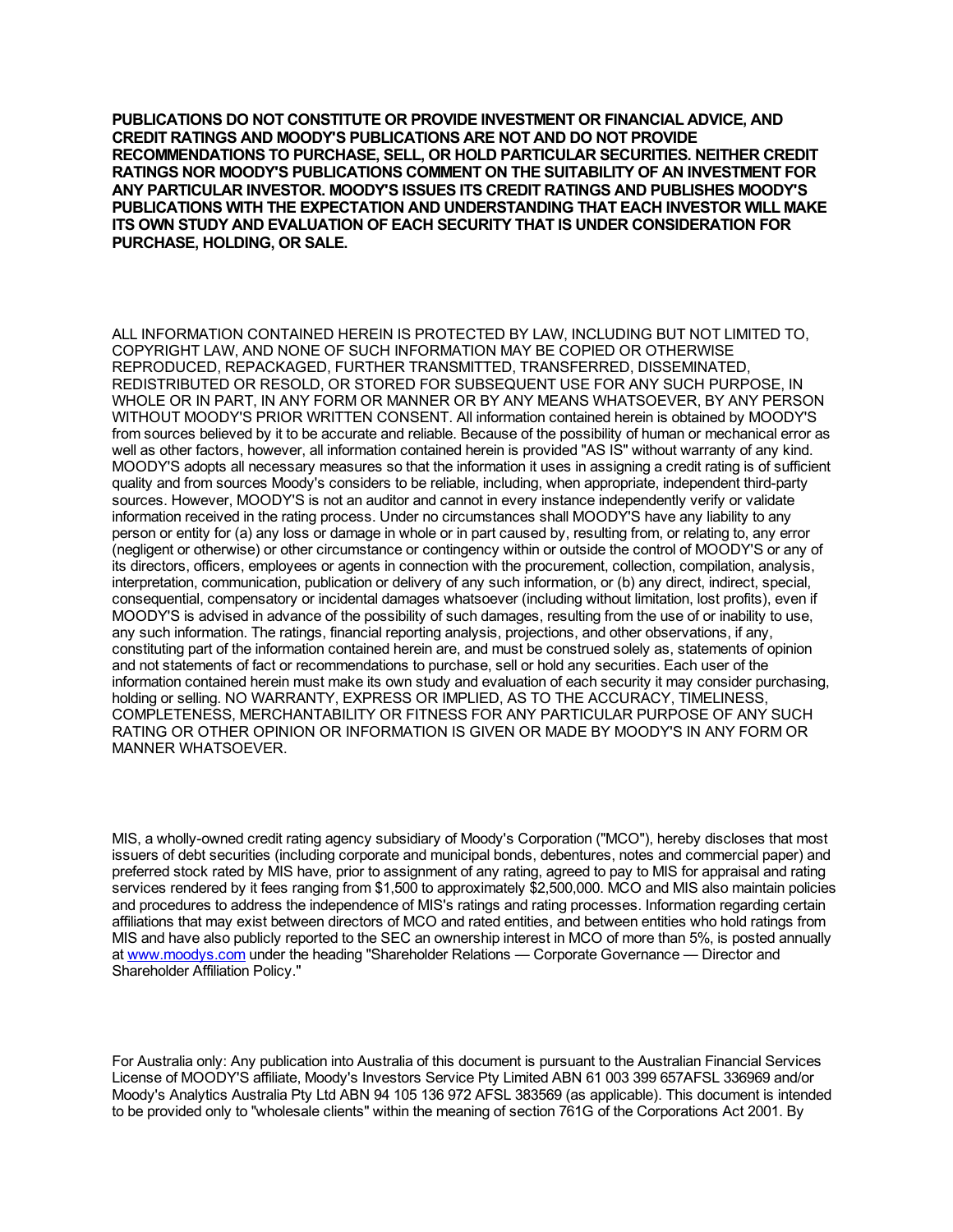**PUBLICATIONS DO NOT CONSTITUTE OR PROVIDE INVESTMENT OR FINANCIAL ADVICE, AND CREDIT RATINGS AND MOODY'S PUBLICATIONS ARE NOT AND DO NOT PROVIDE RECOMMENDATIONS TO PURCHASE, SELL, OR HOLD PARTICULAR SECURITIES. NEITHER CREDIT RATINGS NOR MOODY'S PUBLICATIONS COMMENT ON THE SUITABILITY OF AN INVESTMENT FOR ANY PARTICULAR INVESTOR. MOODY'S ISSUES ITS CREDIT RATINGS AND PUBLISHES MOODY'S PUBLICATIONS WITH THE EXPECTATION AND UNDERSTANDING THAT EACH INVESTOR WILL MAKE ITS OWN STUDY AND EVALUATION OF EACH SECURITY THAT IS UNDER CONSIDERATION FOR PURCHASE, HOLDING, OR SALE.**

ALL INFORMATION CONTAINED HEREIN IS PROTECTED BY LAW, INCLUDING BUT NOT LIMITED TO, COPYRIGHT LAW, AND NONE OF SUCH INFORMATION MAY BE COPIED OR OTHERWISE REPRODUCED, REPACKAGED, FURTHER TRANSMITTED, TRANSFERRED, DISSEMINATED, REDISTRIBUTED OR RESOLD, OR STORED FOR SUBSEQUENT USE FOR ANY SUCH PURPOSE, IN WHOLE OR IN PART, IN ANY FORM OR MANNER OR BY ANY MEANS WHATSOEVER, BY ANY PERSON WITHOUT MOODY'S PRIOR WRITTEN CONSENT. All information contained herein is obtained by MOODY'S from sources believed by it to be accurate and reliable. Because of the possibility of human or mechanical error as well as other factors, however, all information contained herein is provided "AS IS" without warranty of any kind. MOODY'S adopts all necessary measures so that the information it uses in assigning a credit rating is of sufficient quality and from sources Moody's considers to be reliable, including, when appropriate, independent third-party sources. However, MOODY'S is not an auditor and cannot in every instance independently verify or validate information received in the rating process. Under no circumstances shall MOODY'S have any liability to any person or entity for (a) any loss or damage in whole or in part caused by, resulting from, or relating to, any error (negligent or otherwise) or other circumstance or contingency within or outside the control of MOODY'S or any of its directors, officers, employees or agents in connection with the procurement, collection, compilation, analysis, interpretation, communication, publication or delivery of any such information, or (b) any direct, indirect, special, consequential, compensatory or incidental damages whatsoever (including without limitation, lost profits), even if MOODY'S is advised in advance of the possibility of such damages, resulting from the use of or inability to use, any such information. The ratings, financial reporting analysis, projections, and other observations, if any, constituting part of the information contained herein are, and must be construed solely as, statements of opinion and not statements of fact or recommendations to purchase, sell or hold any securities. Each user of the information contained herein must make its own study and evaluation of each security it may consider purchasing, holding or selling. NO WARRANTY, EXPRESS OR IMPLIED, AS TO THE ACCURACY, TIMELINESS, COMPLETENESS, MERCHANTABILITY OR FITNESS FOR ANY PARTICULAR PURPOSE OF ANY SUCH RATING OR OTHER OPINION OR INFORMATION IS GIVEN OR MADE BY MOODY'S IN ANY FORM OR MANNER WHATSOEVER.

MIS, a wholly-owned credit rating agency subsidiary of Moody's Corporation ("MCO"), hereby discloses that most issuers of debt securities (including corporate and municipal bonds, debentures, notes and commercial paper) and preferred stock rated by MIS have, prior to assignment of any rating, agreed to pay to MIS for appraisal and rating services rendered by it fees ranging from \$1,500 to approximately \$2,500,000. MCO and MIS also maintain policies and procedures to address the independence of MIS's ratings and rating processes. Information regarding certain affiliations that may exist between directors of MCO and rated entities, and between entities who hold ratings from MIS and have also publicly reported to the SEC an ownership interest in MCO of more than 5%, is posted annually at [www.moodys.com](http://www.moodys.com/) under the heading "Shareholder Relations — Corporate Governance — Director and Shareholder Affiliation Policy."

For Australia only: Any publication into Australia of this document is pursuant to the Australian Financial Services License of MOODY'S affiliate, Moody's Investors Service Pty Limited ABN 61 003 399 657AFSL 336969 and/or Moody's Analytics Australia Pty Ltd ABN 94 105 136 972 AFSL 383569 (as applicable). This document is intended to be provided only to "wholesale clients" within the meaning of section 761G of the Corporations Act 2001. By